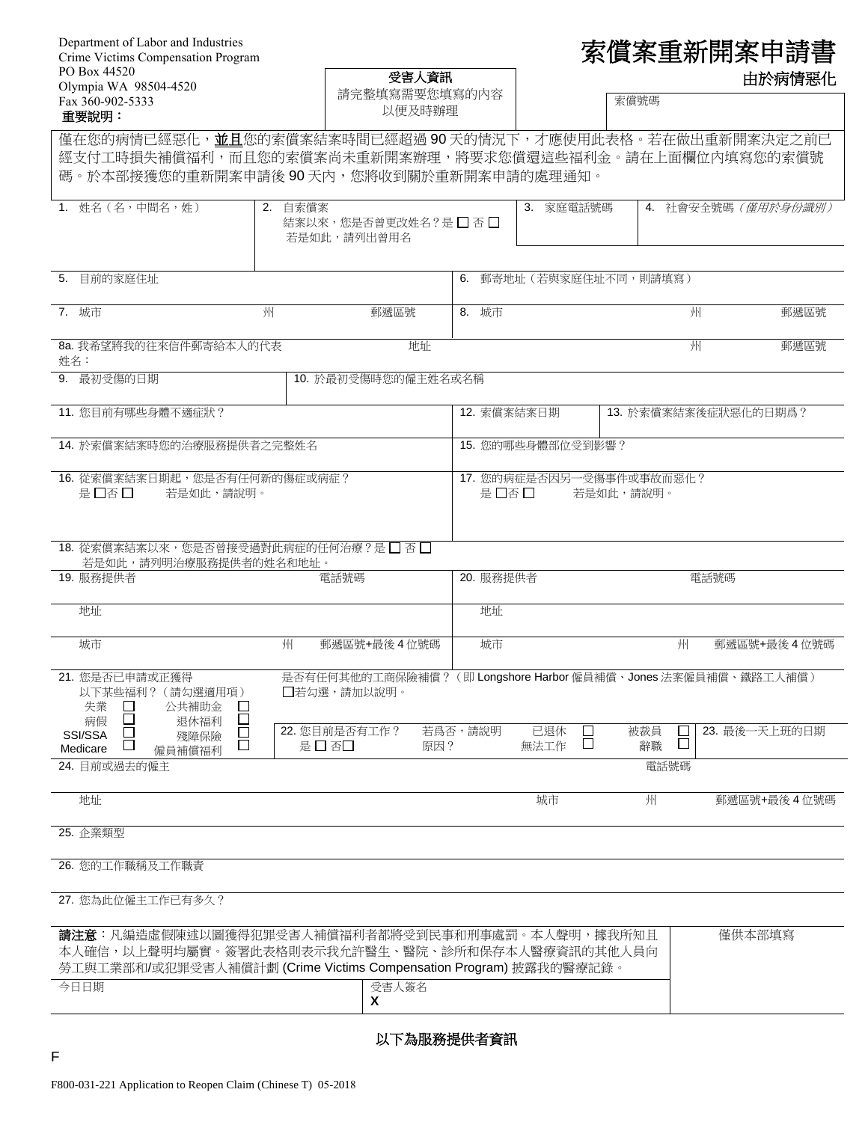| Department of Labor and Industries |
|------------------------------------|
| Crime Victims Compensation Program |
| PO Box 44520                       |
| Olympia WA 98504-4520              |
| Fax 360-902-5333                   |
|                                    |

| Department of Labor and Industries<br>Crime Victims Compensation Program                                                                                                        |                   |                                                                             |                                    | 索償案重新開案申請書                          |                        |                     |  |  |
|---------------------------------------------------------------------------------------------------------------------------------------------------------------------------------|-------------------|-----------------------------------------------------------------------------|------------------------------------|-------------------------------------|------------------------|---------------------|--|--|
| PO Box 44520<br>Olympia WA 98504-4520<br>Fax 360-902-5333<br>重要說明:                                                                                                              |                   | 受害人資訊<br>請完整填寫需要您填寫的內容<br>以便及時辦理                                            |                                    |                                     | 索償號碼                   | 由於病情惡化              |  |  |
| 僅在您的病情已經惡化,並且您的索償案結案時間已經超過 90 天的情況下,才應使用此表格。若在做出重新開案決定之前已<br>經支付工時損失補償福利,而且您的索償案尚未重新開案辦理,將要求您償還這些福利金。請在上面欄位內填寫您的索償號<br>碼。於本部接獲您的重新開案申請後90天內,您將收到關於重新開案申請的處理通知。                  |                   |                                                                             |                                    |                                     |                        |                     |  |  |
| 1. 姓名 (名,中間名,姓)                                                                                                                                                                 | 2. 自索償案           | 結案以來,您是否曾更改姓名?是□否□<br>若是如此,請列出曾用名                                           |                                    | 3. 家庭電話號碼                           |                        | 4. 社會安全號碼 (僅用於身份識別) |  |  |
| 目前的家庭住址<br>5.                                                                                                                                                                   |                   |                                                                             | 6. 郵寄地址 (若與家庭住址不同,則請填寫)            |                                     |                        |                     |  |  |
| 7. 城市                                                                                                                                                                           | 州                 | 郵遞區號                                                                        | 8. 城市                              |                                     | 州                      | 郵遞區號                |  |  |
| 8a. 我希望將我的往來信件郵寄給本人的代表<br>姓名:                                                                                                                                                   |                   | 地址                                                                          |                                    |                                     | 州                      | 郵遞區號                |  |  |
| 9. 最初受傷的日期                                                                                                                                                                      |                   | 10. 於最初受傷時您的僱主姓名或名稱                                                         |                                    |                                     |                        |                     |  |  |
| 11. 您目前有哪些身體不適症狀?                                                                                                                                                               |                   |                                                                             |                                    | 12. 索償案結案日期<br>13. 於索償案結案後症狀惡化的日期爲? |                        |                     |  |  |
| 14. 於索償案結案時您的治療服務提供者之完整姓名                                                                                                                                                       | 15. 您的哪些身體部位受到影響? |                                                                             |                                    |                                     |                        |                     |  |  |
| 16. 從索償案結案日期起,您是否有任何新的傷症或病症?<br>是 □否 □<br>若是如此,請說明。                                                                                                                             |                   |                                                                             | 17. 您的病症是否因另一受傷事件或事故而惡化?<br>是 □否 □ | 若是如此,請說明。                           |                        |                     |  |  |
| 18. 從索償案結案以來,您是否曾接受過對此病症的任何治療?是□ 否□<br>若是如此,請列明治療服務提供者的姓名和地址。                                                                                                                   |                   |                                                                             |                                    |                                     |                        |                     |  |  |
| 19. 服務提供者                                                                                                                                                                       |                   | 電話號碼                                                                        | 20. 服務提供者                          |                                     | 電話號碼                   |                     |  |  |
| 地址                                                                                                                                                                              |                   |                                                                             | 地址                                 |                                     |                        |                     |  |  |
| 城市                                                                                                                                                                              | 州                 | 郵遞區號+最後4位號碼                                                                 | 城市                                 |                                     | 州                      | 郵遞區號+最後4位號碼         |  |  |
| 21. 您是否已申請或正獲得<br>以下某些福利? (請勾選適用項)<br>失業<br>公共補助金<br>⊔<br>$\Box$<br>病假<br>退休福利                                                                                                  |                   | 是否有任何其他的工商保險補償?(即 Longshore Harbor 僱員補償、Jones 法案僱員補償、鐵路工人補償)<br>凵若勾選,請加以說明。 |                                    |                                     |                        |                     |  |  |
| SSI/SSA<br>殘障保險<br>П<br>Ц<br>Medicare<br>僱員補償福利<br>24. 目前或過去的僱主                                                                                                                 |                   | 22. 您目前是否有工作?<br>是 □ 否□<br>原因?                                              | 若爲否,請說明<br>無法工作                    | 已退休<br>⊔<br>$\Box$                  | 被裁員<br>□<br>辭職<br>電話號碼 | 23. 最後一天上班的日期       |  |  |
|                                                                                                                                                                                 |                   |                                                                             |                                    |                                     |                        |                     |  |  |
| 地址                                                                                                                                                                              |                   |                                                                             | 城市                                 |                                     | 州                      | 郵遞區號+最後4位號碼         |  |  |
| 25. 企業類型                                                                                                                                                                        |                   |                                                                             |                                    |                                     |                        |                     |  |  |
| 26. 您的工作職稱及工作職責<br>27. 您為此位僱主工作已有多久?                                                                                                                                            |                   |                                                                             |                                    |                                     |                        |                     |  |  |
| <b>請注意</b> :凡編造虛假陳述以圖獲得犯罪受害人補償福利者都將受到民事和刑事處罰。本人聲明,據我所知且<br>本人確信,以上聲明均屬實。簽署此表格則表示我允許醫生、醫院、診所和保存本人醫療資訊的其他人員向<br>勞工與工業部和/或犯罪受害人補償計劃 (Crime Victims Compensation Program) 披露我的醫療記錄。 |                   |                                                                             |                                    |                                     |                        | 僅供本部填寫              |  |  |
| 今日日期                                                                                                                                                                            |                   | 受害人簽名<br>X                                                                  |                                    |                                     |                        |                     |  |  |

以下為服務提供者資訊